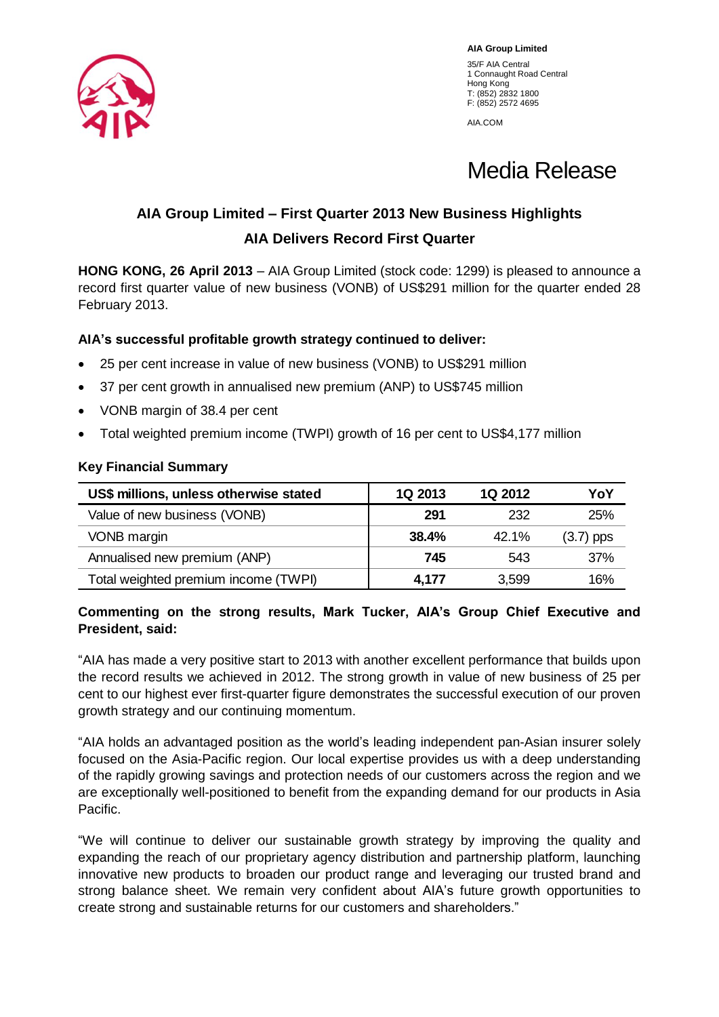

**AIA Group Limited** 35/F AIA Central 1 Connaught Road Central Hong Kong T: (852) 2832 1800 F: (852) 2572 4695

AIA.COM

Media Release

# **AIA Group Limited – First Quarter 2013 New Business Highlights AIA Delivers Record First Quarter**

**HONG KONG, 26 April 2013** – AIA Group Limited (stock code: 1299) is pleased to announce a record first quarter value of new business (VONB) of US\$291 million for the quarter ended 28 February 2013.

## **AIA's successful profitable growth strategy continued to deliver:**

- 25 per cent increase in value of new business (VONB) to US\$291 million
- 37 per cent growth in annualised new premium (ANP) to US\$745 million
- VONB margin of 38.4 per cent
- Total weighted premium income (TWPI) growth of 16 per cent to US\$4,177 million

### **Key Financial Summary**

| US\$ millions, unless otherwise stated | 1Q 2013 | <b>1Q 2012</b> | YoY         |
|----------------------------------------|---------|----------------|-------------|
| Value of new business (VONB)           | 291     | 232            | 25%         |
| VONB margin                            | 38.4%   | $42.1\%$       | $(3.7)$ pps |
| Annualised new premium (ANP)           | 745     | 543            | 37%         |
| Total weighted premium income (TWPI)   | 4,177   | 3,599          | 16%         |

## **Commenting on the strong results, Mark Tucker, AIA's Group Chief Executive and President, said:**

"AIA has made a very positive start to 2013 with another excellent performance that builds upon the record results we achieved in 2012. The strong growth in value of new business of 25 per cent to our highest ever first-quarter figure demonstrates the successful execution of our proven growth strategy and our continuing momentum.

"AIA holds an advantaged position as the world's leading independent pan-Asian insurer solely focused on the Asia-Pacific region. Our local expertise provides us with a deep understanding of the rapidly growing savings and protection needs of our customers across the region and we are exceptionally well-positioned to benefit from the expanding demand for our products in Asia Pacific.

"We will continue to deliver our sustainable growth strategy by improving the quality and expanding the reach of our proprietary agency distribution and partnership platform, launching innovative new products to broaden our product range and leveraging our trusted brand and strong balance sheet. We remain very confident about AIA's future growth opportunities to create strong and sustainable returns for our customers and shareholders."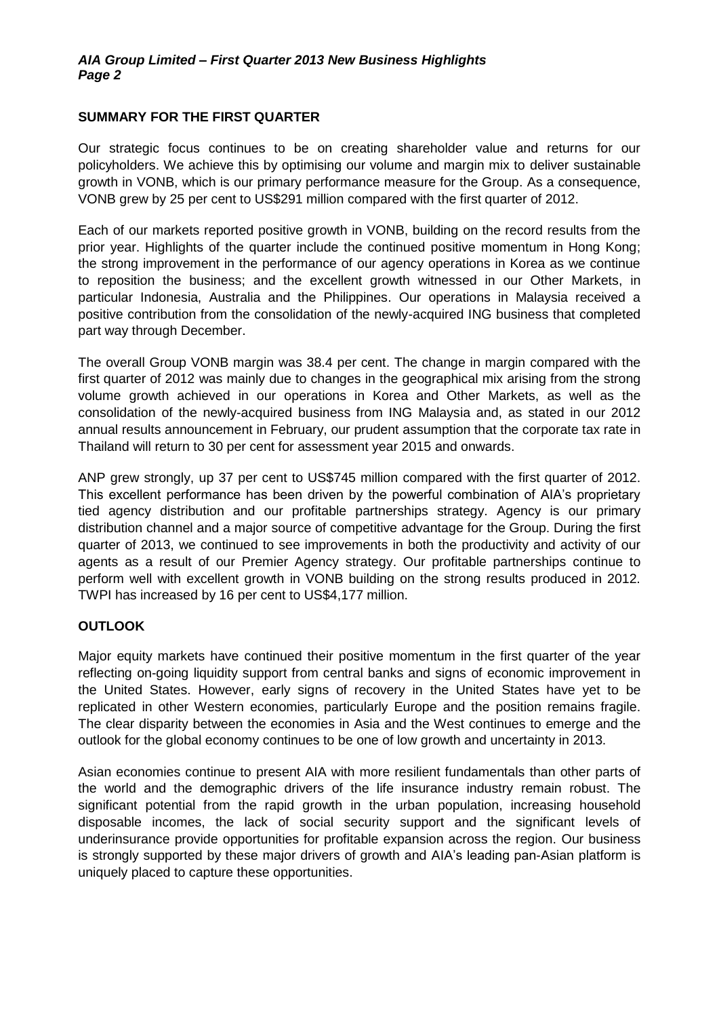#### **SUMMARY FOR THE FIRST QUARTER**

Our strategic focus continues to be on creating shareholder value and returns for our policyholders. We achieve this by optimising our volume and margin mix to deliver sustainable growth in VONB, which is our primary performance measure for the Group. As a consequence, VONB grew by 25 per cent to US\$291 million compared with the first quarter of 2012.

Each of our markets reported positive growth in VONB, building on the record results from the prior year. Highlights of the quarter include the continued positive momentum in Hong Kong; the strong improvement in the performance of our agency operations in Korea as we continue to reposition the business; and the excellent growth witnessed in our Other Markets, in particular Indonesia, Australia and the Philippines. Our operations in Malaysia received a positive contribution from the consolidation of the newly-acquired ING business that completed part way through December.

The overall Group VONB margin was 38.4 per cent. The change in margin compared with the first quarter of 2012 was mainly due to changes in the geographical mix arising from the strong volume growth achieved in our operations in Korea and Other Markets, as well as the consolidation of the newly-acquired business from ING Malaysia and, as stated in our 2012 annual results announcement in February, our prudent assumption that the corporate tax rate in Thailand will return to 30 per cent for assessment year 2015 and onwards.

ANP grew strongly, up 37 per cent to US\$745 million compared with the first quarter of 2012. This excellent performance has been driven by the powerful combination of AIA's proprietary tied agency distribution and our profitable partnerships strategy. Agency is our primary distribution channel and a major source of competitive advantage for the Group. During the first quarter of 2013, we continued to see improvements in both the productivity and activity of our agents as a result of our Premier Agency strategy. Our profitable partnerships continue to perform well with excellent growth in VONB building on the strong results produced in 2012. TWPI has increased by 16 per cent to US\$4,177 million.

#### **OUTLOOK**

Major equity markets have continued their positive momentum in the first quarter of the year reflecting on-going liquidity support from central banks and signs of economic improvement in the United States. However, early signs of recovery in the United States have yet to be replicated in other Western economies, particularly Europe and the position remains fragile. The clear disparity between the economies in Asia and the West continues to emerge and the outlook for the global economy continues to be one of low growth and uncertainty in 2013.

Asian economies continue to present AIA with more resilient fundamentals than other parts of the world and the demographic drivers of the life insurance industry remain robust. The significant potential from the rapid growth in the urban population, increasing household disposable incomes, the lack of social security support and the significant levels of underinsurance provide opportunities for profitable expansion across the region. Our business is strongly supported by these major drivers of growth and AIA's leading pan-Asian platform is uniquely placed to capture these opportunities.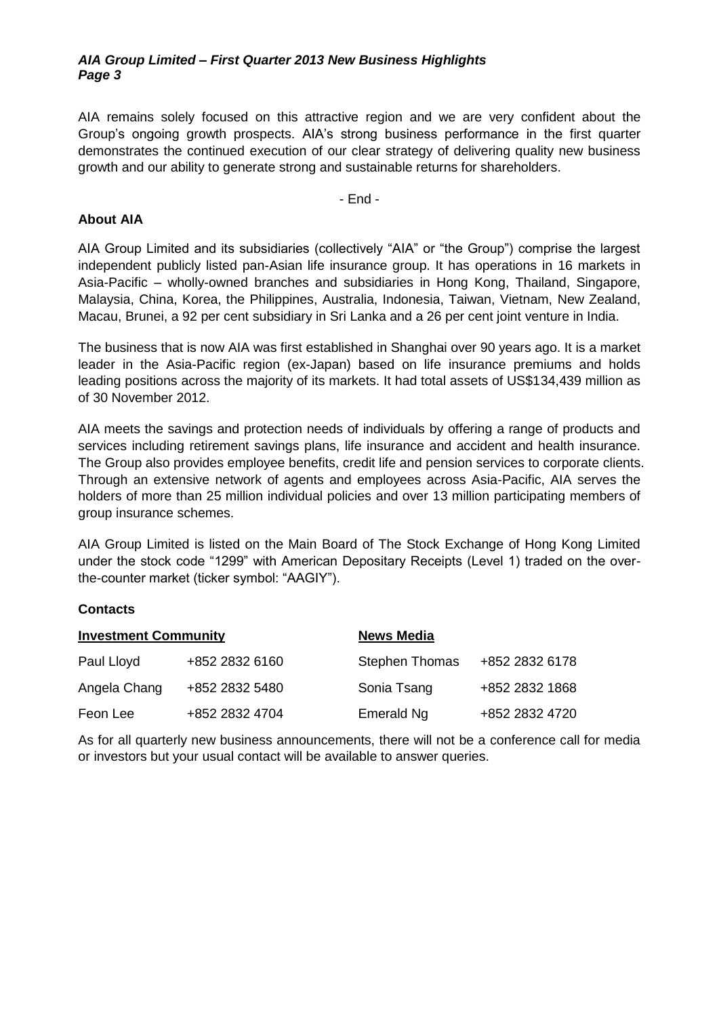#### *AIA Group Limited – First Quarter 2013 New Business Highlights Page 3*

AIA remains solely focused on this attractive region and we are very confident about the Group's ongoing growth prospects. AIA's strong business performance in the first quarter demonstrates the continued execution of our clear strategy of delivering quality new business growth and our ability to generate strong and sustainable returns for shareholders.

- End -

#### **About AIA**

AIA Group Limited and its subsidiaries (collectively "AIA" or "the Group") comprise the largest independent publicly listed pan-Asian life insurance group. It has operations in 16 markets in Asia-Pacific – wholly-owned branches and subsidiaries in Hong Kong, Thailand, Singapore, Malaysia, China, Korea, the Philippines, Australia, Indonesia, Taiwan, Vietnam, New Zealand, Macau, Brunei, a 92 per cent subsidiary in Sri Lanka and a 26 per cent joint venture in India.

The business that is now AIA was first established in Shanghai over 90 years ago. It is a market leader in the Asia-Pacific region (ex-Japan) based on life insurance premiums and holds leading positions across the majority of its markets. It had total assets of US\$134,439 million as of 30 November 2012.

AIA meets the savings and protection needs of individuals by offering a range of products and services including retirement savings plans, life insurance and accident and health insurance. The Group also provides employee benefits, credit life and pension services to corporate clients. Through an extensive network of agents and employees across Asia-Pacific, AIA serves the holders of more than 25 million individual policies and over 13 million participating members of group insurance schemes.

AIA Group Limited is listed on the Main Board of The Stock Exchange of Hong Kong Limited under the stock code "1299" with American Depositary Receipts (Level 1) traded on the overthe-counter market (ticker symbol: "AAGIY").

#### **Contacts**

| <b>Investment Community</b> |                | <b>News Media</b>     |                |  |  |
|-----------------------------|----------------|-----------------------|----------------|--|--|
| Paul Lloyd                  | +852 2832 6160 | <b>Stephen Thomas</b> | +852 2832 6178 |  |  |
| Angela Chang                | +852 2832 5480 | Sonia Tsang           | +852 2832 1868 |  |  |
| Feon Lee                    | +852 2832 4704 | Emerald Ng            | +852 2832 4720 |  |  |

As for all quarterly new business announcements, there will not be a conference call for media or investors but your usual contact will be available to answer queries.